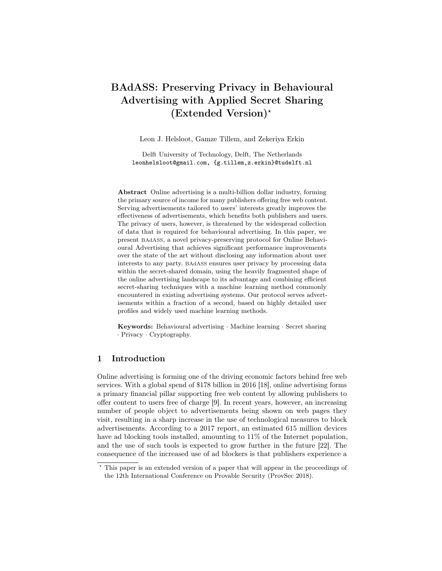# BAdASS: Preserving Privacy in Behavioural Advertising with Applied Secret Sharing (Extended Version)**<sup>⋆</sup>**

Leon J. Helsloot, Gamze Tillem, and Zekeriya Erkin

Delft University of Technology, Delft, The Netherlands leonhelsloot@gmail.com, {g.tillem,z.erkin}@tudelft.nl

Abstract Online advertising is a multi-billion dollar industry, forming the primary source of income for many publishers offering free web content. Serving advertisements tailored to users' interests greatly improves the effectiveness of advertisements, which benefits both publishers and users. The privacy of users, however, is threatened by the widespread collection of data that is required for behavioural advertising. In this paper, we present BAdASS, a novel privacy-preserving protocol for Online Behavioural Advertising that achieves significant performance improvements over the state of the art without disclosing any information about user interests to any party. BAdASS ensures user privacy by processing data within the secret-shared domain, using the heavily fragmented shape of the online advertising landscape to its advantage and combining efficient secret-sharing techniques with a machine learning method commonly encountered in existing advertising systems. Our protocol serves advertisements within a fraction of a second, based on highly detailed user profiles and widely used machine learning methods.

Keywords: Behavioural advertising · Machine learning · Secret sharing · Privacy · Cryptography.

## 1 Introduction

Online advertising is forming one of the driving economic factors behind free web services. With a global spend of \$178 billion in 2016 [\[18\]](#page-16-0), online advertising forms a primary financial pillar supporting free web content by allowing publishers to offer content to users free of charge [\[9\]](#page-15-0). In recent years, however, an increasing number of people object to advertisements being shown on web pages they visit, resulting in a sharp increase in the use of technological measures to block advertisements. According to a 2017 report, an estimated 615 million devices have ad blocking tools installed, amounting to 11% of the Internet population, and the use of such tools is expected to grow further in the future [\[22\]](#page-16-1). The consequence of the increased use of ad blockers is that publishers experience a

<sup>⋆</sup> This paper is an extended version of a paper that will appear in the proceedings of the 12th International Conference on Provable Security (ProvSec 2018).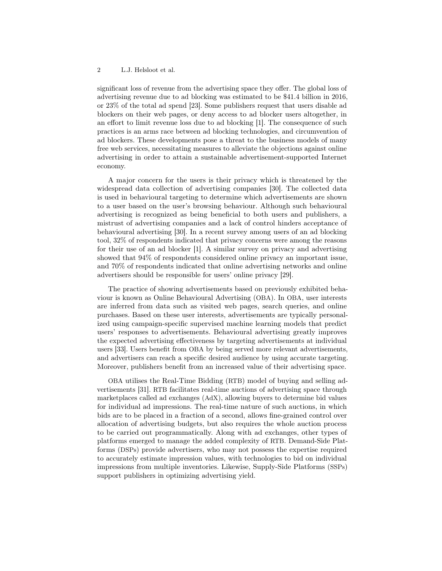significant loss of revenue from the advertising space they offer. The global loss of advertising revenue due to ad blocking was estimated to be \$41.4 billion in 2016, or 23% of the total ad spend [\[23\]](#page-16-2). Some publishers request that users disable ad blockers on their web pages, or deny access to ad blocker users altogether, in an effort to limit revenue loss due to ad blocking [\[1\]](#page-14-0). The consequence of such practices is an arms race between ad blocking technologies, and circumvention of ad blockers. These developments pose a threat to the business models of many free web services, necessitating measures to alleviate the objections against online advertising in order to attain a sustainable advertisement-supported Internet economy.

A major concern for the users is their privacy which is threatened by the widespread data collection of advertising companies [\[30\]](#page-16-3). The collected data is used in behavioural targeting to determine which advertisements are shown to a user based on the user's browsing behaviour. Although such behavioural advertising is recognized as being beneficial to both users and publishers, a mistrust of advertising companies and a lack of control hinders acceptance of behavioural advertising [\[30\]](#page-16-3). In a recent survey among users of an ad blocking tool, 32% of respondents indicated that privacy concerns were among the reasons for their use of an ad blocker [\[1\]](#page-14-0). A similar survey on privacy and advertising showed that 94% of respondents considered online privacy an important issue, and 70% of respondents indicated that online advertising networks and online advertisers should be responsible for users' online privacy [\[29\]](#page-16-4).

The practice of showing advertisements based on previously exhibited behaviour is known as Online Behavioural Advertising (OBA). In OBA, user interests are inferred from data such as visited web pages, search queries, and online purchases. Based on these user interests, advertisements are typically personalized using campaign-specific supervised machine learning models that predict users' responses to advertisements. Behavioural advertising greatly improves the expected advertising effectiveness by targeting advertisements at individual users [\[33\]](#page-17-0). Users benefit from OBA by being served more relevant advertisements, and advertisers can reach a specific desired audience by using accurate targeting. Moreover, publishers benefit from an increased value of their advertising space.

OBA utilises the Real-Time Bidding (RTB) model of buying and selling advertisements [\[31\]](#page-16-5). RTB facilitates real-time auctions of advertising space through marketplaces called ad exchanges (AdX), allowing buyers to determine bid values for individual ad impressions. The real-time nature of such auctions, in which bids are to be placed in a fraction of a second, allows fine-grained control over allocation of advertising budgets, but also requires the whole auction process to be carried out programmatically. Along with ad exchanges, other types of platforms emerged to manage the added complexity of RTB. Demand-Side Platforms (DSPs) provide advertisers, who may not possess the expertise required to accurately estimate impression values, with technologies to bid on individual impressions from multiple inventories. Likewise, Supply-Side Platforms (SSPs) support publishers in optimizing advertising yield.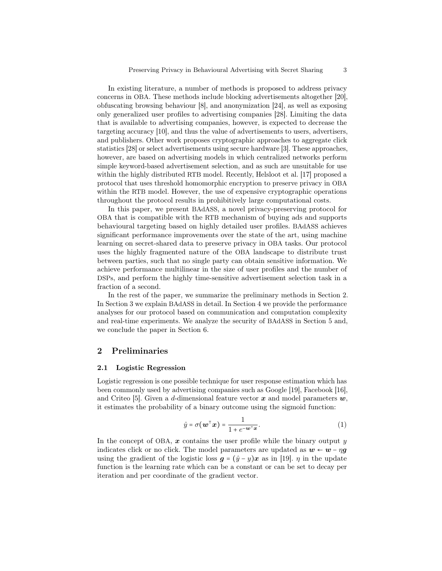In existing literature, a number of methods is proposed to address privacy concerns in OBA. These methods include blocking advertisements altogether [\[20\]](#page-16-6), obfuscating browsing behaviour [\[8\]](#page-15-1), and anonymization [\[24\]](#page-16-7), as well as exposing only generalized user profiles to advertising companies [\[28\]](#page-16-8). Limiting the data that is available to advertising companies, however, is expected to decrease the targeting accuracy [\[10\]](#page-15-2), and thus the value of advertisements to users, advertisers, and publishers. Other work proposes cryptographic approaches to aggregate click statistics [\[28\]](#page-16-8) or select advertisements using secure hardware [\[3\]](#page-15-3). These approaches, however, are based on advertising models in which centralized networks perform simple keyword-based advertisement selection, and as such are unsuitable for use within the highly distributed RTB model. Recently, Helsloot et al. [\[17\]](#page-16-9) proposed a protocol that uses threshold homomorphic encryption to preserve privacy in OBA within the RTB model. However, the use of expensive cryptographic operations throughout the protocol results in prohibitively large computational costs.

In this paper, we present BAdASS, a novel privacy-preserving protocol for OBA that is compatible with the RTB mechanism of buying ads and supports behavioural targeting based on highly detailed user profiles. BAdASS achieves significant performance improvements over the state of the art, using machine learning on secret-shared data to preserve privacy in OBA tasks. Our protocol uses the highly fragmented nature of the OBA landscape to distribute trust between parties, such that no single party can obtain sensitive information. We achieve performance multilinear in the size of user profiles and the number of DSPs, and perform the highly time-sensitive advertisement selection task in a fraction of a second.

In the rest of the paper, we summarize the preliminary methods in Section [2.](#page-2-0) In Section [3](#page-4-0) we explain BAdASS in detail. In Section [4](#page-8-0) we provide the performance analyses for our protocol based on communication and computation complexity and real-time experiments. We analyze the security of BAdASS in Section [5](#page-12-0) and, we conclude the paper in Section [6.](#page-14-1)

## <span id="page-2-0"></span>2 Preliminaries

#### <span id="page-2-1"></span>2.1 Logistic Regression

Logistic regression is one possible technique for user response estimation which has been commonly used by advertising companies such as Google [\[19\]](#page-16-10), Facebook [\[16\]](#page-15-4), and Criteo [\[5\]](#page-15-5). Given a d-dimensional feature vector  $\boldsymbol{x}$  and model parameters  $\boldsymbol{w}$ , it estimates the probability of a binary outcome using the sigmoid function:

$$
\hat{y} = \sigma(\boldsymbol{w}^{\top}\boldsymbol{x}) = \frac{1}{1 + e^{-\boldsymbol{w}^{\top}\boldsymbol{x}}}.
$$
\n(1)

In the concept of OBA,  $x$  contains the user profile while the binary output  $y$ indicates click or no click. The model parameters are updated as  $w \leftarrow w - \eta g$ using the gradient of the logistic loss  $q = (\hat{q} - y)\boldsymbol{x}$  as in [\[19\]](#page-16-10).  $\eta$  in the update function is the learning rate which can be a constant or can be set to decay per iteration and per coordinate of the gradient vector.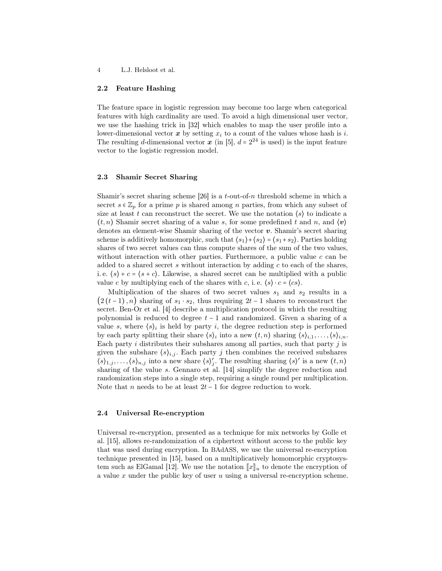#### 2.2 Feature Hashing

The feature space in logistic regression may become too large when categorical features with high cardinality are used. To avoid a high dimensional user vector, we use the hashing trick in [\[32\]](#page-16-11) which enables to map the user profile into a lower-dimensional vector  $\boldsymbol{x}$  by setting  $x_i$  to a count of the values whose hash is i. The resulting d-dimensional vector  $x$  (in [\[5\]](#page-15-5),  $d = 2^{24}$  is used) is the input feature vector to the logistic regression model.

## <span id="page-3-0"></span>2.3 Shamir Secret Sharing

Shamir's secret sharing scheme  $[26]$  is a *t*-out-of-*n* threshold scheme in which a secret  $s \in \mathbb{Z}_p$  for a prime p is shared among n parties, from which any subset of size at least t can reconstruct the secret. We use the notation  $\langle s \rangle$  to indicate a  $(t, n)$  Shamir secret sharing of a value s, for some predefined t and  $n$ , and  $\langle v \rangle$ denotes an element-wise Shamir sharing of the vector  $v$ . Shamir's secret sharing scheme is additively homomorphic, such that  $\langle s_1 \rangle + \langle s_2 \rangle = \langle s_1 + s_2 \rangle$ . Parties holding shares of two secret values can thus compute shares of the sum of the two values, without interaction with other parties. Furthermore, a public value  $c$  can be added to a shared secret  $s$  without interaction by adding  $c$  to each of the shares, i.e.  $\langle s \rangle + c = \langle s + c \rangle$ . Likewise, a shared secret can be multiplied with a public value c by multiplying each of the shares with c, i.e.  $\langle s \rangle \cdot c = \langle cs \rangle$ .

Multiplication of the shares of two secret values  $s_1$  and  $s_2$  results in a  $(2(t-1), n)$  sharing of  $s_1 \cdot s_2$ , thus requiring  $2t-1$  shares to reconstruct the secret. Ben-Or et al. [\[4\]](#page-15-6) describe a multiplication protocol in which the resulting polynomial is reduced to degree  $t-1$  and randomized. Given a sharing of a value s, where  $\langle s \rangle_i$  is held by party i, the degree reduction step is performed by each party splitting their share  $\langle s \rangle_i$  into a new  $(t, n)$  sharing  $\langle s \rangle_{i,1}, \ldots, \langle s \rangle_{i,n}$ . Each party  $i$  distributes their subshares among all parties, such that party  $j$  is given the subshare  $\langle s \rangle_{i,j}$ . Each party *j* then combines the received subshares  $\langle s \rangle_{1,j}, \ldots, \langle s \rangle_{n,j}$  into a new share  $\langle s \rangle'_{j}$ . The resulting sharing  $\langle s \rangle'$  is a new  $(t, n)$ sharing of the value s. Gennaro et al. [\[14\]](#page-15-7) simplify the degree reduction and randomization steps into a single step, requiring a single round per multiplication. Note that *n* needs to be at least  $2t - 1$  for degree reduction to work.

#### 2.4 Universal Re-encryption

Universal re-encryption, presented as a technique for mix networks by Golle et al. [\[15\]](#page-15-8), allows re-randomization of a ciphertext without access to the public key that was used during encryption. In BAdASS, we use the universal re-encryption technique presented in [\[15\]](#page-15-8), based on a multiplicatively homomorphic cryptosys-tem such as ElGamal [\[12\]](#page-15-9). We use the notation  $\llbracket x \rrbracket_u$  to denote the encryption of a value  $x$  under the public key of user  $u$  using a universal re-encryption scheme.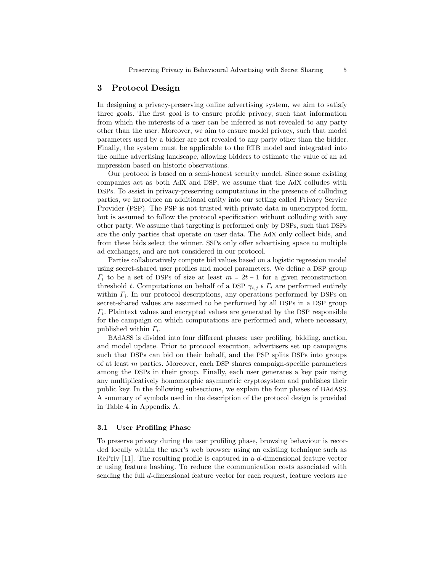## <span id="page-4-0"></span>3 Protocol Design

In designing a privacy-preserving online advertising system, we aim to satisfy three goals. The first goal is to ensure profile privacy, such that information from which the interests of a user can be inferred is not revealed to any party other than the user. Moreover, we aim to ensure model privacy, such that model parameters used by a bidder are not revealed to any party other than the bidder. Finally, the system must be applicable to the RTB model and integrated into the online advertising landscape, allowing bidders to estimate the value of an ad impression based on historic observations.

Our protocol is based on a semi-honest security model. Since some existing companies act as both AdX and DSP, we assume that the AdX colludes with DSPs. To assist in privacy-preserving computations in the presence of colluding parties, we introduce an additional entity into our setting called Privacy Service Provider (PSP). The PSP is not trusted with private data in unencrypted form, but is assumed to follow the protocol specification without colluding with any other party. We assume that targeting is performed only by DSPs, such that DSPs are the only parties that operate on user data. The AdX only collect bids, and from these bids select the winner. SSPs only offer advertising space to multiple ad exchanges, and are not considered in our protocol.

Parties collaboratively compute bid values based on a logistic regression model using secret-shared user profiles and model parameters. We define a DSP group  $\Gamma_i$  to be a set of DSPs of size at least  $m = 2t - 1$  for a given reconstruction threshold t. Computations on behalf of a DSP  $\gamma_{i,j} \in \Gamma_i$  are performed entirely within  $\Gamma_i$ . In our protocol descriptions, any operations performed by DSPs on secret-shared values are assumed to be performed by all DSPs in a DSP group  $\Gamma_i$ . Plaintext values and encrypted values are generated by the DSP responsible for the campaign on which computations are performed and, where necessary, published within  $\Gamma_i$ .

BAdASS is divided into four different phases: user profiling, bidding, auction, and model update. Prior to protocol execution, advertisers set up campaigns such that DSPs can bid on their behalf, and the PSP splits DSPs into groups of at least  $m$  parties. Moreover, each DSP shares campaign-specific parameters among the DSPs in their group. Finally, each user generates a key pair using any multiplicatively homomorphic asymmetric cryptosystem and publishes their public key. In the following subsections, we explain the four phases of BAdASS. A summary of symbols used in the description of the protocol design is provided in Table [4](#page-18-0) in Appendix [A.](#page-18-1)

#### 3.1 User Profiling Phase

To preserve privacy during the user profiling phase, browsing behaviour is recorded locally within the user's web browser using an existing technique such as RePriv  $[11]$ . The resulting profile is captured in a d-dimensional feature vector  $x$  using feature hashing. To reduce the communication costs associated with sending the full d-dimensional feature vector for each request, feature vectors are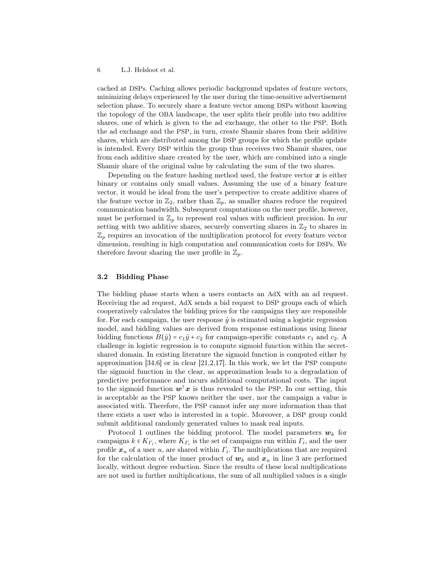cached at DSPs. Caching allows periodic background updates of feature vectors, minimizing delays experienced by the user during the time-sensitive advertisement selection phase. To securely share a feature vector among DSPs without knowing the topology of the OBA landscape, the user splits their profile into two additive shares, one of which is given to the ad exchange, the other to the PSP. Both the ad exchange and the PSP, in turn, create Shamir shares from their additive shares, which are distributed among the DSP groups for which the profile update is intended. Every DSP within the group thus receives two Shamir shares, one from each additive share created by the user, which are combined into a single Shamir share of the original value by calculating the sum of the two shares.

Depending on the feature hashing method used, the feature vector  $\boldsymbol{x}$  is either binary or contains only small values. Assuming the use of a binary feature vector, it would be ideal from the user's perspective to create additive shares of the feature vector in  $\mathbb{Z}_2$ , rather than  $\mathbb{Z}_p$ , as smaller shares reduce the required communication bandwidth. Subsequent computations on the user profile, however, must be performed in  $\mathbb{Z}_p$  to represent real values with sufficient precision. In our setting with two additive shares, securely converting shares in  $\mathbb{Z}_2$  to shares in  $\mathbb{Z}_p$  requires an invocation of the multiplication protocol for every feature vector dimension, resulting in high computation and communication costs for DSPs. We therefore favour sharing the user profile in  $\mathbb{Z}_p$ .

#### <span id="page-5-0"></span>3.2 Bidding Phase

The bidding phase starts when a users contacts an AdX with an ad request. Receiving the ad request, AdX sends a bid request to DSP groups each of which cooperatively calculates the bidding prices for the campaigns they are responsible for. For each campaign, the user response  $\hat{y}$  is estimated using a logistic regression model, and bidding values are derived from response estimations using linear bidding functions  $B(\hat{y}) = c_1 \hat{y} + c_2$  for campaign-specific constants  $c_1$  and  $c_2$ . A challenge in logistic regression is to compute sigmoid function within the secretshared domain. In existing literature the sigmoid function is computed either by approximation  $[34,6]$  $[34,6]$  or in clear  $[21,2,17]$  $[21,2,17]$  $[21,2,17]$ . In this work, we let the PSP compute the sigmoid function in the clear, as approximation leads to a degradation of predictive performance and incurs additional computational costs. The input to the sigmoid function  $w^{\dagger}x$  is thus revealed to the PSP. In our setting, this is acceptable as the PSP knows neither the user, nor the campaign a value is associated with. Therefore, the PSP cannot infer any more information than that there exists a user who is interested in a topic. Moreover, a DSP group could submit additional randomly generated values to mask real inputs.

Protocol [1](#page-6-0) outlines the bidding protocol. The model parameters  $w_k$  for campaigns  $k \in K_{\Gamma_i}$ , where  $K_{\Gamma_i}$  is the set of campaigns run within  $\Gamma_i$ , and the user profile  $x_u$  of a user u, are shared within  $\Gamma_i$ . The multiplications that are required for the calculation of the inner product of  $w_k$  and  $x_u$  in line [3](#page-5-0) are performed locally, without degree reduction. Since the results of these local multiplications are not used in further multiplications, the sum of all multiplied values is a single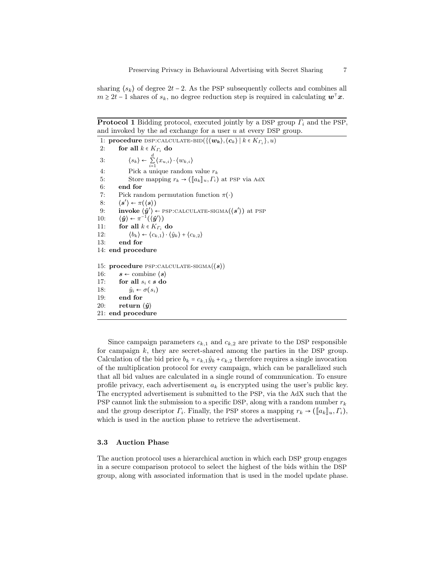sharing  $\langle s_k \rangle$  of degree  $2t - 2$ . As the PSP subsequently collects and combines all  $m \geq 2t - 1$  shares of  $s_k$ , no degree reduction step is required in calculating  $\mathbf{w}^\top \mathbf{x}$ .

**Protocol 1** Bidding protocol, executed jointly by a DSP group  $\Gamma_i$  and the PSP, and invoked by the ad exchange for a user  $u$  at every DSP group.

1: procedure DSP:CALCULATE-BID $({\langle w_k \rangle}, {\langle c_k \rangle} | k \in K_{\Gamma_i}), u)$ 2: for all  $k \in K_{\Gamma_i}$  do 3:  $\langle s_k \rangle \leftarrow \sum_{i=1}^d \langle x_{u,i} \rangle \cdot \langle w_{k,i} \rangle$ 4: Pick a unique random value  $r_k$ 5: Store mapping  $r_k \to (\llbracket a_k \rrbracket_u, \Gamma_i)$  at PSP via AdX 6: end for end for 7: Pick random permutation function  $\pi(\cdot)$ 8:  $\langle s' \rangle \leftarrow \pi(\langle s \rangle)$ 9: **invoke**  $\langle \hat{y}' \rangle$  ← PSP:CALCULATE-SIGMA $(\langle s' \rangle)$  at PSP 10:  $\langle \hat{\mathbf{y}} \rangle \leftarrow \pi^{-1}(\langle \hat{\mathbf{y}}' \rangle)$ 11: for all  $k \in K_{\Gamma_i}$  do<br>12:  $\langle b_k \rangle \leftarrow \langle c_{k-1} \rangle \cdot \langle i \rangle$  $\langle b_k \rangle \leftarrow \langle c_{k,1} \rangle \cdot \langle \hat{y}_k \rangle + \langle c_{k,2} \rangle$ 13: end for 14: end procedure 15: procedure PSP:CALCULATE-SIGMA $(\langle s \rangle)$ 16:  $s \leftarrow$  combine  $\langle s \rangle$ 17: for all  $s_i \in \mathbf{s}$  do 18:  $\hat{y}_i \leftarrow \sigma(s_i)$ 19: end for 20: return  $\langle \hat{y} \rangle$ 21: end procedure

<span id="page-6-0"></span>Since campaign parameters  $c_{k,1}$  and  $c_{k,2}$  are private to the DSP responsible for campaign  $k$ , they are secret-shared among the parties in the DSP group. Calculation of the bid price  $b_k = c_{k,1} \hat{y}_k + c_{k,2}$  therefore requires a single invocation of the multiplication protocol for every campaign, which can be parallelized such that all bid values are calculated in a single round of communication. To ensure profile privacy, each advertisement  $a_k$  is encrypted using the user's public key. The encrypted advertisement is submitted to the PSP, via the AdX such that the PSP cannot link the submission to a specific DSP, along with a random number  $r_k$ and the group descriptor  $\Gamma_i$ . Finally, the PSP stores a mapping  $r_k \to (\llbracket a_k \rrbracket_u, \Gamma_i)$ , which is used in the auction phase to retrieve the advertisement.

#### 3.3 Auction Phase

The auction protocol uses a hierarchical auction in which each DSP group engages in a secure comparison protocol to select the highest of the bids within the DSP group, along with associated information that is used in the model update phase.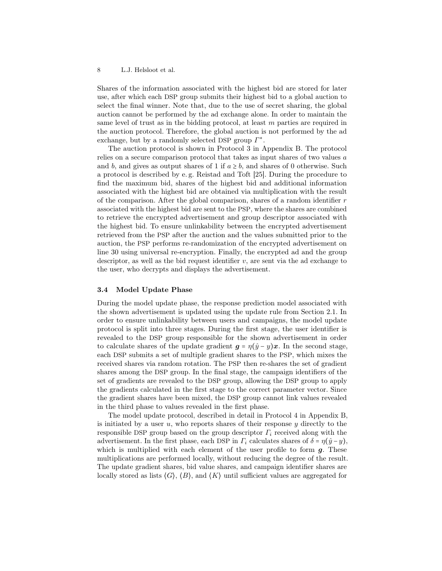Shares of the information associated with the highest bid are stored for later use, after which each DSP group submits their highest bid to a global auction to select the final winner. Note that, due to the use of secret sharing, the global auction cannot be performed by the ad exchange alone. In order to maintain the same level of trust as in the bidding protocol, at least  $m$  parties are required in the auction protocol. Therefore, the global auction is not performed by the ad exchange, but by a randomly selected DSP group  $\Gamma^*$ .

The auction protocol is shown in Protocol [3](#page-21-0) in Appendix [B.](#page-20-0) The protocol relies on a secure comparison protocol that takes as input shares of two values  $a$ and b, and gives as output shares of 1 if  $a \ge b$ , and shares of 0 otherwise. Such a protocol is described by e. g. Reistad and Toft [\[25\]](#page-16-14). During the procedure to find the maximum bid, shares of the highest bid and additional information associated with the highest bid are obtained via multiplication with the result of the comparison. After the global comparison, shares of a random identifier  $r$ associated with the highest bid are sent to the PSP, where the shares are combined to retrieve the encrypted advertisement and group descriptor associated with the highest bid. To ensure unlinkability between the encrypted advertisement retrieved from the PSP after the auction and the values submitted prior to the auction, the PSP performs re-randomization of the encrypted advertisement on line [30](#page-20-1) using universal re-encryption. Finally, the encrypted ad and the group descriptor, as well as the bid request identifier  $v$ , are sent via the ad exchange to the user, who decrypts and displays the advertisement.

#### 3.4 Model Update Phase

During the model update phase, the response prediction model associated with the shown advertisement is updated using the update rule from Section [2.1.](#page-2-1) In order to ensure unlinkability between users and campaigns, the model update protocol is split into three stages. During the first stage, the user identifier is revealed to the DSP group responsible for the shown advertisement in order to calculate shares of the update gradient  $g = \eta(\hat{y} - y)\boldsymbol{x}$ . In the second stage, each DSP submits a set of multiple gradient shares to the PSP, which mixes the received shares via random rotation. The PSP then re-shares the set of gradient shares among the DSP group. In the final stage, the campaign identifiers of the set of gradients are revealed to the DSP group, allowing the DSP group to apply the gradients calculated in the first stage to the correct parameter vector. Since the gradient shares have been mixed, the DSP group cannot link values revealed in the third phase to values revealed in the first phase.

The model update protocol, described in detail in Protocol [4](#page-22-0) in Appendix [B,](#page-20-0) is initiated by a user  $u$ , who reports shares of their response  $y$  directly to the responsible DSP group based on the group descriptor  $\Gamma_i$  received along with the advertisement. In the first phase, each DSP in  $\Gamma_i$  calculates shares of  $\delta = \eta(\hat{y} - y)$ , which is multiplied with each element of the user profile to form  $g$ . These multiplications are performed locally, without reducing the degree of the result. The update gradient shares, bid value shares, and campaign identifier shares are locally stored as lists  $\langle G \rangle$ ,  $\langle B \rangle$ , and  $\langle K \rangle$  until sufficient values are aggregated for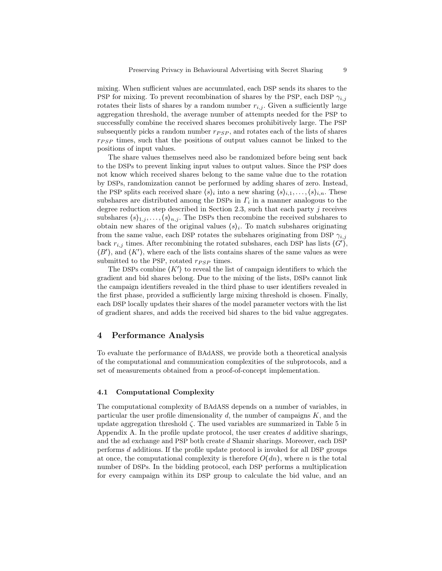mixing. When sufficient values are accumulated, each DSP sends its shares to the PSP for mixing. To prevent recombination of shares by the PSP, each DSP  $\gamma_{i,j}$ rotates their lists of shares by a random number  $r_{i,j}$ . Given a sufficiently large aggregation threshold, the average number of attempts needed for the PSP to successfully combine the received shares becomes prohibitively large. The PSP subsequently picks a random number  $r_{PSP}$ , and rotates each of the lists of shares  $r_{PSP}$  times, such that the positions of output values cannot be linked to the positions of input values.

The share values themselves need also be randomized before being sent back to the DSPs to prevent linking input values to output values. Since the PSP does not know which received shares belong to the same value due to the rotation by DSPs, randomization cannot be performed by adding shares of zero. Instead, the PSP splits each received share  $\langle s \rangle_i$  into a new sharing  $\langle s \rangle_{i,1}, \ldots, \langle s \rangle_{i,n}$ . These subshares are distributed among the DSPs in  $\Gamma_i$  in a manner analogous to the degree reduction step described in Section [2.3,](#page-3-0) such that each party  $j$  receives subshares  $\langle s \rangle_{1, j}, \ldots, \langle s \rangle_{n, j}$ . The DSPs then recombine the received subshares to obtain new shares of the original values  $\langle s \rangle$ . To match subshares originating from the same value, each DSP rotates the subshares originating from DSP  $\gamma_{i,j}$ back  $r_{i,j}$  times. After recombining the rotated subshares, each DSP has lists  $\langle G' \rangle$ ,  $\langle B' \rangle$ , and  $\langle K' \rangle$ , where each of the lists contains shares of the same values as were submitted to the PSP, rotated  $r_{PSP}$  times.

The DSPs combine  $\langle K' \rangle$  to reveal the list of campaign identifiers to which the gradient and bid shares belong. Due to the mixing of the lists, DSPs cannot link the campaign identifiers revealed in the third phase to user identifiers revealed in the first phase, provided a sufficiently large mixing threshold is chosen. Finally, each DSP locally updates their shares of the model parameter vectors with the list of gradient shares, and adds the received bid shares to the bid value aggregates.

## <span id="page-8-0"></span>4 Performance Analysis

To evaluate the performance of BAdASS, we provide both a theoretical analysis of the computational and communication complexities of the subprotocols, and a set of measurements obtained from a proof-of-concept implementation.

## 4.1 Computational Complexity

The computational complexity of BAdASS depends on a number of variables, in particular the user profile dimensionality  $d$ , the number of campaigns  $K$ , and the update aggregation threshold  $\zeta$ . The used variables are summarized in Table [5](#page-19-0) in Appendix [A.](#page-18-1) In the profile update protocol, the user creates  $d$  additive sharings, and the ad exchange and PSP both create  $d$  Shamir sharings. Moreover, each DSP performs  $d$  additions. If the profile update protocol is invoked for all DSP groups at once, the computational complexity is therefore  $O(dn)$ , where n is the total number of DSPs. In the bidding protocol, each DSP performs a multiplication for every campaign within its DSP group to calculate the bid value, and an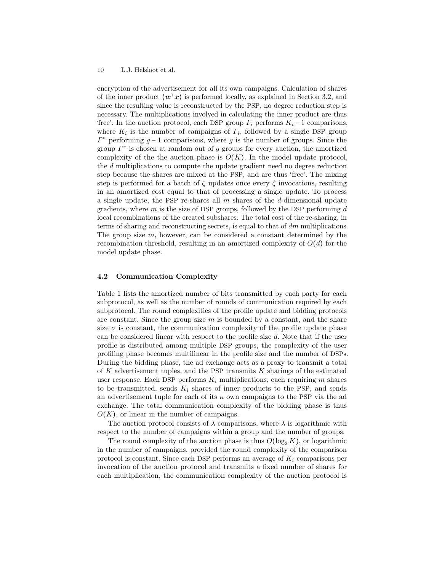encryption of the advertisement for all its own campaigns. Calculation of shares of the inner product  $\langle \boldsymbol{w}^\top \boldsymbol{x} \rangle$  is performed locally, as explained in Section [3.2,](#page-5-0) and since the resulting value is reconstructed by the PSP, no degree reduction step is necessary. The multiplications involved in calculating the inner product are thus 'free'. In the auction protocol, each DSP group  $\Gamma_i$  performs  $K_i - 1$  comparisons, where  $K_i$  is the number of campaigns of  $\Gamma_i$ , followed by a single DSP group  $\Gamma^*$  performing  $g-1$  comparisons, where g is the number of groups. Since the group  $\Gamma^*$  is chosen at random out of g groups for every auction, the amortized complexity of the the auction phase is  $O(K)$ . In the model update protocol, the  $d$  multiplications to compute the update gradient need no degree reduction step because the shares are mixed at the PSP, and are thus 'free'. The mixing step is performed for a batch of  $\zeta$  updates once every  $\zeta$  invocations, resulting in an amortized cost equal to that of processing a single update. To process a single update, the PSP re-shares all  $m$  shares of the  $d$ -dimensional update gradients, where  $m$  is the size of DSP groups, followed by the DSP performing  $d$ local recombinations of the created subshares. The total cost of the re-sharing, in terms of sharing and reconstructing secrets, is equal to that of  $dm$  multiplications. The group size  $m$ , however, can be considered a constant determined by the recombination threshold, resulting in an amortized complexity of  $O(d)$  for the model update phase.

## 4.2 Communication Complexity

Table [1](#page-10-0) lists the amortized number of bits transmitted by each party for each subprotocol, as well as the number of rounds of communication required by each subprotocol. The round complexities of the profile update and bidding protocols are constant. Since the group size  $m$  is bounded by a constant, and the share size  $\sigma$  is constant, the communication complexity of the profile update phase can be considered linear with respect to the profile size  $d$ . Note that if the user profile is distributed among multiple DSP groups, the complexity of the user profiling phase becomes multilinear in the profile size and the number of DSPs. During the bidding phase, the ad exchange acts as a proxy to transmit a total of  $K$  advertisement tuples, and the PSP transmits  $K$  sharings of the estimated user response. Each DSP performs  $K_i$  multiplications, each requiring  $m$  shares to be transmitted, sends  $K_i$  shares of inner products to the PSP, and sends an advertisement tuple for each of its  $\kappa$  own campaigns to the PSP via the ad exchange. The total communication complexity of the bidding phase is thus  $O(K)$ , or linear in the number of campaigns.

The auction protocol consists of  $\lambda$  comparisons, where  $\lambda$  is logarithmic with respect to the number of campaigns within a group and the number of groups.

The round complexity of the auction phase is thus  $O(\log_2 K)$ , or logarithmic in the number of campaigns, provided the round complexity of the comparison protocol is constant. Since each DSP performs an average of  $K_i$  comparisons per invocation of the auction protocol and transmits a fixed number of shares for each multiplication, the communication complexity of the auction protocol is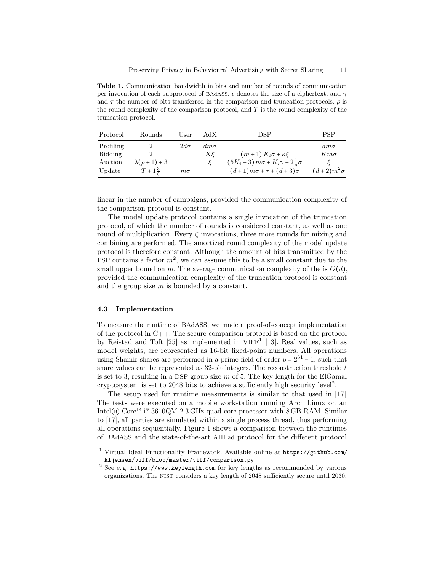<span id="page-10-0"></span>Table 1. Communication bandwidth in bits and number of rounds of communication per invocation of each subprotocol of BAdASS.  $\epsilon$  denotes the size of a ciphertext, and  $\gamma$ and  $\tau$  the number of bits transferred in the comparison and truncation protocols.  $\rho$  is the round complexity of the comparison protocol, and  $T$  is the round complexity of the truncation protocol.

| Protocol  | Rounds              | User       | AdX        | DSP                                                 | PSP              |
|-----------|---------------------|------------|------------|-----------------------------------------------------|------------------|
| Profiling |                     | $2d\sigma$ | $dm\sigma$ |                                                     | $dm\sigma$       |
| Bidding   |                     |            | Kξ         | $(m+1) K_i \sigma + \kappa \xi$                     | $Km\sigma$       |
| Auction   | $\lambda(\rho+1)+3$ |            |            | $(5K_i-3) m\sigma + K_i\gamma + 2\frac{1}{a}\sigma$ |                  |
| Update    | $T+1\frac{3}{6}$    | $m\sigma$  |            | $(d+1)m\sigma + \tau + (d+3)\sigma$                 | $(d+2)m^2\sigma$ |

linear in the number of campaigns, provided the communication complexity of the comparison protocol is constant.

The model update protocol contains a single invocation of the truncation protocol, of which the number of rounds is considered constant, as well as one round of multiplication. Every  $\zeta$  invocations, three more rounds for mixing and combining are performed. The amortized round complexity of the model update protocol is therefore constant. Although the amount of bits transmitted by the PSP contains a factor  $m^2$ , we can assume this to be a small constant due to the small upper bound on m. The average communication complexity of the is  $O(d)$ , provided the communication complexity of the truncation protocol is constant and the group size  $m$  is bounded by a constant.

#### 4.3 Implementation

To measure the runtime of BAdASS, we made a proof-of-concept implementation of the protocol in C++. The secure comparison protocol is based on the protocol by Reistad and Toft  $[25]$  as implemented in VIFF<sup>[1](#page-10-1)</sup>  $[13]$ . Real values, such as model weights, are represented as 16-bit fixed-point numbers. All operations using Shamir shares are performed in a prime field of order  $p = 2^{31} - 1$ , such that share values can be represented as  $32$ -bit integers. The reconstruction threshold  $t$ is set to 3, resulting in a DSP group size  $m$  of 5. The key length for the ElGamal cryptosystem is set to [2](#page-10-2)048 bits to achieve a sufficiently high security level<sup>2</sup>.

The setup used for runtime measurements is similar to that used in [\[17\]](#page-16-9). The tests were executed on a mobile workstation running Arch Linux on an Intel® Core™ i7-3610QM 2.3 GHz quad-core processor with 8 GB RAM. Similar to [\[17\]](#page-16-9), all parties are simulated within a single process thread, thus performing all operations sequentially. Figure [1](#page-11-0) shows a comparison between the runtimes of BAdASS and the state-of-the-art AHEad protocol for the different protocol

<span id="page-10-1"></span><sup>1</sup> Virtual Ideal Functionality Framework. Available online at [https://github.com/](https://github.com/kljensen/viff/blob/master/viff/comparison.py) [kljensen/viff/blob/master/viff/comparison.py](https://github.com/kljensen/viff/blob/master/viff/comparison.py)

<span id="page-10-2"></span> $2$  See e.g. <https://www.keylength.com> for key lengths as recommended by various organizations. The NIST considers a key length of 2048 sufficiently secure until 2030.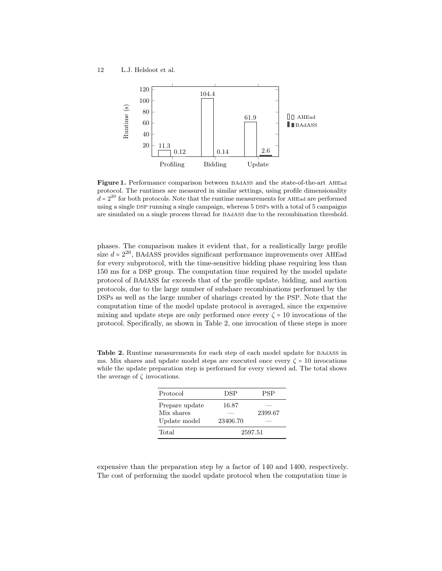<span id="page-11-0"></span>

Figure 1. Performance comparison between BAdASS and the state-of-the-art AHEad protocol. The runtimes are measured in similar settings, using profile dimensionality  $d = 2^{20}$  for both protocols. Note that the runtime measurements for AHEad are performed using a single DSP running a single campaign, whereas 5 DSPs with a total of 5 campaigns are simulated on a single process thread for BAdASS due to the recombination threshold.

phases. The comparison makes it evident that, for a realistically large profile size  $d = 2^{20}$ , BAdASS provides significant performance improvements over AHEad for every subprotocol, with the time-sensitive bidding phase requiring less than 150 ms for a DSP group. The computation time required by the model update protocol of BAdASS far exceeds that of the profile update, bidding, and auction protocols, due to the large number of subshare recombinations performed by the DSPs as well as the large number of sharings created by the PSP. Note that the computation time of the model update protocol is averaged, since the expensive mixing and update steps are only performed once every  $\zeta = 10$  invocations of the protocol. Specifically, as shown in Table [2,](#page-11-1) one invocation of these steps is more

<span id="page-11-1"></span>Table 2. Runtime measurements for each step of each model update for BAdASS in ms. Mix shares and update model steps are executed once every  $\zeta = 10$  invocations while the update preparation step is performed for every viewed ad. The total shows the average of  $\zeta$  invocations.

| Protocol                                     | DSP               | PSP     |
|----------------------------------------------|-------------------|---------|
| Prepare update<br>Mix shares<br>Update model | 16.87<br>23406.70 | 2399.67 |
| Total                                        |                   | 2597.51 |

expensive than the preparation step by a factor of 140 and 1400, respectively. The cost of performing the model update protocol when the computation time is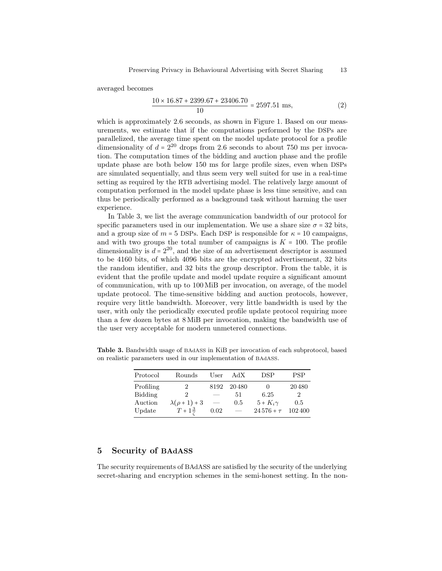averaged becomes

$$
\frac{10 \times 16.87 + 2399.67 + 23406.70}{10} = 2597.51 \text{ ms},\tag{2}
$$

which is approximately 2.6 seconds, as shown in Figure [1.](#page-11-0) Based on our measurements, we estimate that if the computations performed by the DSPs are parallelized, the average time spent on the model update protocol for a profile dimensionality of  $d = 2^{20}$  drops from 2.6 seconds to about 750 ms per invocation. The computation times of the bidding and auction phase and the profile update phase are both below 150 ms for large profile sizes, even when DSPs are simulated sequentially, and thus seem very well suited for use in a real-time setting as required by the RTB advertising model. The relatively large amount of computation performed in the model update phase is less time sensitive, and can thus be periodically performed as a background task without harming the user experience.

In Table [3,](#page-12-1) we list the average communication bandwidth of our protocol for specific parameters used in our implementation. We use a share size  $\sigma = 32$  bits, and a group size of  $m = 5$  DSPs. Each DSP is responsible for  $\kappa = 10$  campaigns, and with two groups the total number of campaigns is  $K = 100$ . The profile dimensionality is  $d = 2^{20}$ , and the size of an advertisement descriptor is assumed to be 4160 bits, of which 4096 bits are the encrypted advertisement, 32 bits the random identifier, and 32 bits the group descriptor. From the table, it is evident that the profile update and model update require a significant amount of communication, with up to 100 MiB per invocation, on average, of the model update protocol. The time-sensitive bidding and auction protocols, however, require very little bandwidth. Moreover, very little bandwidth is used by the user, with only the periodically executed profile update protocol requiring more than a few dozen bytes at 8 MiB per invocation, making the bandwidth use of the user very acceptable for modern unmetered connections.

<span id="page-12-1"></span>Table 3. Bandwidth usage of BAdASS in KiB per invocation of each subprotocol, based on realistic parameters used in our implementation of BAdASS.

| Protocol  | Rounds              | User | AdX   | DSP              | PSP            |
|-----------|---------------------|------|-------|------------------|----------------|
| Profiling | 2                   | 8192 | 20480 |                  | 20480          |
| Bidding   | 2                   |      | 51    | 6.25             | $\overline{2}$ |
| Auction   | $\lambda(\rho+1)+3$ |      | 0.5   | $5 + K_i \gamma$ | 0.5            |
| Update    | $T+1\frac{3}{5}$    | 0.02 |       | $24576 + \tau$   | 102400         |

## <span id="page-12-0"></span>5 Security of BAdASS

The security requirements of BAdASS are satisfied by the security of the underlying secret-sharing and encryption schemes in the semi-honest setting. In the non-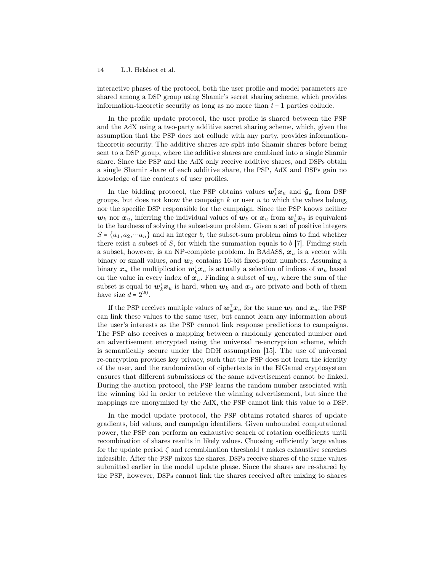interactive phases of the protocol, both the user profile and model parameters are shared among a DSP group using Shamir's secret sharing scheme, which provides information-theoretic security as long as no more than  $t-1$  parties collude.

In the profile update protocol, the user profile is shared between the PSP and the AdX using a two-party additive secret sharing scheme, which, given the assumption that the PSP does not collude with any party, provides informationtheoretic security. The additive shares are split into Shamir shares before being sent to a DSP group, where the additive shares are combined into a single Shamir share. Since the PSP and the AdX only receive additive shares, and DSPs obtain a single Shamir share of each additive share, the PSP, AdX and DSPs gain no knowledge of the contents of user profiles.

In the bidding protocol, the PSP obtains values  $w_k^{\dagger} x_u$  and  $\hat{y}_k$  from DSP groups, but does not know the campaign  $k$  or user  $u$  to which the values belong. nor the specific DSP responsible for the campaign. Since the PSP knows neither  $w_k$  nor  $x_u$ , inferring the individual values of  $w_k$  or  $x_u$  from  $w_k^{\top} x_u$  is equivalent to the hardness of solving the subset-sum problem. Given a set of positive integers  $S = \{a_1, a_2, \dots a_n\}$  and an integer b, the subset-sum problem aims to find whether there exist a subset of S, for which the summation equals to  $b$  [\[7\]](#page-15-14). Finding such a subset, however, is an NP-complete problem. In BAdASS,  $x_u$  is a vector with binary or small values, and  $w_k$  contains 16-bit fixed-point numbers. Assuming a binary  $x_u$  the multiplication  $w_k^{\top} x_u$  is actually a selection of indices of  $w_k$  based on the value in every index of  $x_u$ . Finding a subset of  $w_k$ , where the sum of the subset is equal to  $w_k^{\dagger} x_u$  is hard, when  $w_k$  and  $x_u$  are private and both of them have size  $d = 2^{20}$ .

If the PSP receives multiple values of  $w_k^{\dagger} x_u$  for the same  $w_k$  and  $x_u$ , the PSP can link these values to the same user, but cannot learn any information about the user's interests as the PSP cannot link response predictions to campaigns. The PSP also receives a mapping between a randomly generated number and an advertisement encrypted using the universal re-encryption scheme, which is semantically secure under the DDH assumption [\[15\]](#page-15-8). The use of universal re-encryption provides key privacy, such that the PSP does not learn the identity of the user, and the randomization of ciphertexts in the ElGamal cryptosystem ensures that different submissions of the same advertisement cannot be linked. During the auction protocol, the PSP learns the random number associated with the winning bid in order to retrieve the winning advertisement, but since the mappings are anonymized by the AdX, the PSP cannot link this value to a DSP.

In the model update protocol, the PSP obtains rotated shares of update gradients, bid values, and campaign identifiers. Given unbounded computational power, the PSP can perform an exhaustive search of rotation coefficients until recombination of shares results in likely values. Choosing sufficiently large values for the update period  $\zeta$  and recombination threshold  $t$  makes exhaustive searches infeasible. After the PSP mixes the shares, DSPs receive shares of the same values submitted earlier in the model update phase. Since the shares are re-shared by the PSP, however, DSPs cannot link the shares received after mixing to shares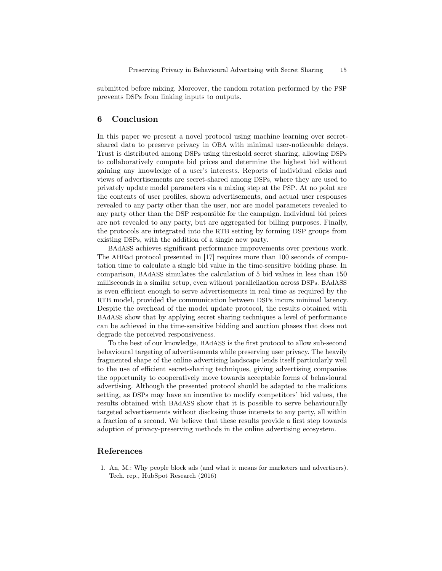submitted before mixing. Moreover, the random rotation performed by the PSP prevents DSPs from linking inputs to outputs.

## <span id="page-14-1"></span>6 Conclusion

In this paper we present a novel protocol using machine learning over secretshared data to preserve privacy in OBA with minimal user-noticeable delays. Trust is distributed among DSPs using threshold secret sharing, allowing DSPs to collaboratively compute bid prices and determine the highest bid without gaining any knowledge of a user's interests. Reports of individual clicks and views of advertisements are secret-shared among DSPs, where they are used to privately update model parameters via a mixing step at the PSP. At no point are the contents of user profiles, shown advertisements, and actual user responses revealed to any party other than the user, nor are model parameters revealed to any party other than the DSP responsible for the campaign. Individual bid prices are not revealed to any party, but are aggregated for billing purposes. Finally, the protocols are integrated into the RTB setting by forming DSP groups from existing DSPs, with the addition of a single new party.

BAdASS achieves significant performance improvements over previous work. The AHEad protocol presented in [\[17\]](#page-16-9) requires more than 100 seconds of computation time to calculate a single bid value in the time-sensitive bidding phase. In comparison, BAdASS simulates the calculation of 5 bid values in less than 150 milliseconds in a similar setup, even without parallelization across DSPs. BAdASS is even efficient enough to serve advertisements in real time as required by the RTB model, provided the communication between DSPs incurs minimal latency. Despite the overhead of the model update protocol, the results obtained with BAdASS show that by applying secret sharing techniques a level of performance can be achieved in the time-sensitive bidding and auction phases that does not degrade the perceived responsiveness.

To the best of our knowledge, BAdASS is the first protocol to allow sub-second behavioural targeting of advertisements while preserving user privacy. The heavily fragmented shape of the online advertising landscape lends itself particularly well to the use of efficient secret-sharing techniques, giving advertising companies the opportunity to cooperatively move towards acceptable forms of behavioural advertising. Although the presented protocol should be adapted to the malicious setting, as DSPs may have an incentive to modify competitors' bid values, the results obtained with BAdASS show that it is possible to serve behaviourally targeted advertisements without disclosing those interests to any party, all within a fraction of a second. We believe that these results provide a first step towards adoption of privacy-preserving methods in the online advertising ecosystem.

## References

<span id="page-14-0"></span>1. An, M.: Why people block ads (and what it means for marketers and advertisers). Tech. rep., HubSpot Research (2016)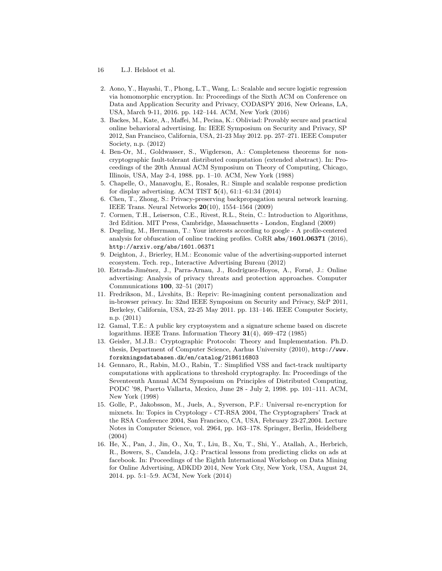- 16 L.J. Helsloot et al.
- <span id="page-15-12"></span>2. Aono, Y., Hayashi, T., Phong, L.T., Wang, L.: Scalable and secure logistic regression via homomorphic encryption. In: Proceedings of the Sixth ACM on Conference on Data and Application Security and Privacy, CODASPY 2016, New Orleans, LA, USA, March 9-11, 2016. pp. 142–144. ACM, New York (2016)
- <span id="page-15-3"></span>3. Backes, M., Kate, A., Maffei, M., Pecina, K.: Obliviad: Provably secure and practical online behavioral advertising. In: IEEE Symposium on Security and Privacy, SP 2012, San Francisco, California, USA, 21-23 May 2012. pp. 257–271. IEEE Computer Society, n.p. (2012)
- <span id="page-15-6"></span>4. Ben-Or, M., Goldwasser, S., Wigderson, A.: Completeness theorems for noncryptographic fault-tolerant distributed computation (extended abstract). In: Proceedings of the 20th Annual ACM Symposium on Theory of Computing, Chicago, Illinois, USA, May 2-4, 1988. pp. 1–10. ACM, New York (1988)
- <span id="page-15-5"></span>5. Chapelle, O., Manavoglu, E., Rosales, R.: Simple and scalable response prediction for display advertising. ACM TIST  $5(4)$ ,  $61:1-61:34$  (2014)
- <span id="page-15-11"></span>6. Chen, T., Zhong, S.: Privacy-preserving backpropagation neural network learning. IEEE Trans. Neural Networks 20(10), 1554–1564 (2009)
- <span id="page-15-14"></span>7. Cormen, T.H., Leiserson, C.E., Rivest, R.L., Stein, C.: Introduction to Algorithms, 3rd Edition. MIT Press, Cambridge, Massachusetts - London, England (2009)
- <span id="page-15-1"></span>8. Degeling, M., Herrmann, T.: Your interests according to google - A profile-centered analysis for obfuscation of online tracking profiles. CoRR abs/1601.06371 (2016), <http://arxiv.org/abs/1601.06371>
- <span id="page-15-0"></span>9. Deighton, J., Brierley, H.M.: Economic value of the advertising-supported internet ecosystem. Tech. rep., Interactive Advertising Bureau (2012)
- <span id="page-15-2"></span>10. Estrada-Jiménez, J., Parra-Arnau, J., Rodríguez-Hoyos, A., Forné, J.: Online advertising: Analysis of privacy threats and protection approaches. Computer Communications 100, 32–51 (2017)
- <span id="page-15-10"></span>11. Fredrikson, M., Livshits, B.: Repriv: Re-imagining content personalization and in-browser privacy. In: 32nd IEEE Symposium on Security and Privacy, S&P 2011, Berkeley, California, USA, 22-25 May 2011. pp. 131–146. IEEE Computer Society, n.p. (2011)
- <span id="page-15-9"></span>12. Gamal, T.E.: A public key cryptosystem and a signature scheme based on discrete logarithms. IEEE Trans. Information Theory 31(4), 469–472 (1985)
- <span id="page-15-13"></span>13. Geisler, M.J.B.: Cryptographic Protocols: Theory and Implementation. Ph.D. thesis, Department of Computer Science, Aarhus University (2010), [http://www.](http://www.forskningsdatabasen.dk/en/catalog/2186116803) [forskningsdatabasen.dk/en/catalog/2186116803](http://www.forskningsdatabasen.dk/en/catalog/2186116803)
- <span id="page-15-7"></span>14. Gennaro, R., Rabin, M.O., Rabin, T.: Simplified VSS and fact-track multiparty computations with applications to threshold cryptography. In: Proceedings of the Seventeenth Annual ACM Symposium on Principles of Distributed Computing, PODC '98, Puerto Vallarta, Mexico, June 28 - July 2, 1998. pp. 101–111. ACM, New York (1998)
- <span id="page-15-8"></span>15. Golle, P., Jakobsson, M., Juels, A., Syverson, P.F.: Universal re-encryption for mixnets. In: Topics in Cryptology - CT-RSA 2004, The Cryptographers' Track at the RSA Conference 2004, San Francisco, CA, USA, February 23-27,2004. Lecture Notes in Computer Science, vol. 2964, pp. 163–178. Springer, Berlin, Heidelberg (2004)
- <span id="page-15-4"></span>16. He, X., Pan, J., Jin, O., Xu, T., Liu, B., Xu, T., Shi, Y., Atallah, A., Herbrich, R., Bowers, S., Candela, J.Q.: Practical lessons from predicting clicks on ads at facebook. In: Proceedings of the Eighth International Workshop on Data Mining for Online Advertising, ADKDD 2014, New York City, New York, USA, August 24, 2014. pp. 5:1–5:9. ACM, New York (2014)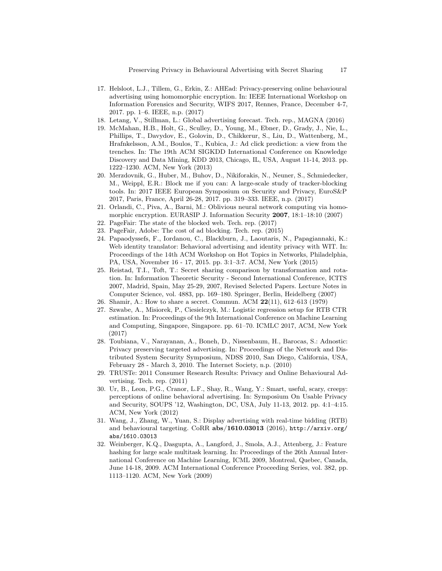- <span id="page-16-9"></span>17. Helsloot, L.J., Tillem, G., Erkin, Z.: AHEad: Privacy-preserving online behavioural advertising using homomorphic encryption. In: IEEE International Workshop on Information Forensics and Security, WIFS 2017, Rennes, France, December 4-7, 2017. pp. 1–6. IEEE, n.p. (2017)
- <span id="page-16-0"></span>18. Letang, V., Stillman, L.: Global advertising forecast. Tech. rep., MAGNA (2016)
- <span id="page-16-10"></span>19. McMahan, H.B., Holt, G., Sculley, D., Young, M., Ebner, D., Grady, J., Nie, L., Phillips, T., Davydov, E., Golovin, D., Chikkerur, S., Liu, D., Wattenberg, M., Hrafnkelsson, A.M., Boulos, T., Kubica, J.: Ad click prediction: a view from the trenches. In: The 19th ACM SIGKDD International Conference on Knowledge Discovery and Data Mining, KDD 2013, Chicago, IL, USA, August 11-14, 2013. pp. 1222–1230. ACM, New York (2013)
- <span id="page-16-6"></span>20. Merzdovnik, G., Huber, M., Buhov, D., Nikiforakis, N., Neuner, S., Schmiedecker, M., Weippl, E.R.: Block me if you can: A large-scale study of tracker-blocking tools. In: 2017 IEEE European Symposium on Security and Privacy, EuroS&P 2017, Paris, France, April 26-28, 2017. pp. 319–333. IEEE, n.p. (2017)
- <span id="page-16-13"></span>21. Orlandi, C., Piva, A., Barni, M.: Oblivious neural network computing via homomorphic encryption. EURASIP J. Information Security 2007, 18:1–18:10 (2007)
- <span id="page-16-1"></span>22. PageFair: The state of the blocked web. Tech. rep. (2017)
- <span id="page-16-2"></span>23. PageFair, Adobe: The cost of ad blocking. Tech. rep. (2015)
- <span id="page-16-7"></span>24. Papaodyssefs, F., Iordanou, C., Blackburn, J., Laoutaris, N., Papagiannaki, K.: Web identity translator: Behavioral advertising and identity privacy with WIT. In: Proceedings of the 14th ACM Workshop on Hot Topics in Networks, Philadelphia, PA, USA, November 16 - 17, 2015. pp. 3:1–3:7. ACM, New York (2015)
- <span id="page-16-14"></span>25. Reistad, T.I., Toft, T.: Secret sharing comparison by transformation and rotation. In: Information Theoretic Security - Second International Conference, ICITS 2007, Madrid, Spain, May 25-29, 2007, Revised Selected Papers. Lecture Notes in Computer Science, vol. 4883, pp. 169–180. Springer, Berlin, Heidelberg (2007)
- <span id="page-16-12"></span>26. Shamir, A.: How to share a secret. Commun. ACM 22(11), 612–613 (1979)
- 27. Szwabe, A., Misiorek, P., Ciesielczyk, M.: Logistic regression setup for RTB CTR estimation. In: Proceedings of the 9th International Conference on Machine Learning and Computing, Singapore, Singapore. pp. 61–70. ICMLC 2017, ACM, New York (2017)
- <span id="page-16-8"></span>28. Toubiana, V., Narayanan, A., Boneh, D., Nissenbaum, H., Barocas, S.: Adnostic: Privacy preserving targeted advertising. In: Proceedings of the Network and Distributed System Security Symposium, NDSS 2010, San Diego, California, USA, February 28 - March 3, 2010. The Internet Society, n.p. (2010)
- <span id="page-16-4"></span>29. TRUSTe: 2011 Consumer Research Results: Privacy and Online Behavioural Advertising. Tech. rep. (2011)
- <span id="page-16-3"></span>30. Ur, B., Leon, P.G., Cranor, L.F., Shay, R., Wang, Y.: Smart, useful, scary, creepy: perceptions of online behavioral advertising. In: Symposium On Usable Privacy and Security, SOUPS '12, Washington, DC, USA, July 11-13, 2012. pp. 4:1–4:15. ACM, New York (2012)
- <span id="page-16-5"></span>31. Wang, J., Zhang, W., Yuan, S.: Display advertising with real-time bidding (RTB) and behavioural targeting. CoRR abs/1610.03013 (2016), [http://arxiv.org/](http://arxiv.org/abs/1610.03013) [abs/1610.03013](http://arxiv.org/abs/1610.03013)
- <span id="page-16-11"></span>32. Weinberger, K.Q., Dasgupta, A., Langford, J., Smola, A.J., Attenberg, J.: Feature hashing for large scale multitask learning. In: Proceedings of the 26th Annual International Conference on Machine Learning, ICML 2009, Montreal, Quebec, Canada, June 14-18, 2009. ACM International Conference Proceeding Series, vol. 382, pp. 1113–1120. ACM, New York (2009)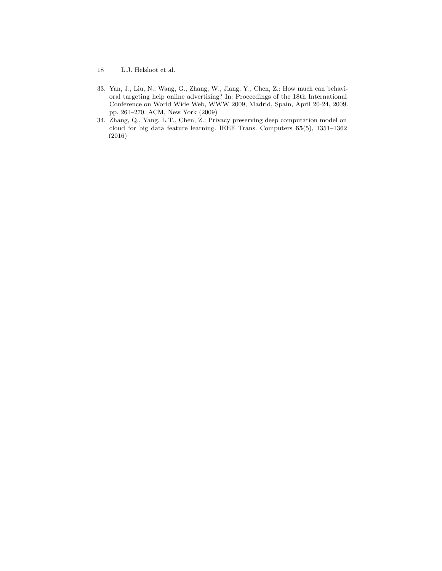- 18 L.J. Helsloot et al.
- <span id="page-17-0"></span>33. Yan, J., Liu, N., Wang, G., Zhang, W., Jiang, Y., Chen, Z.: How much can behavioral targeting help online advertising? In: Proceedings of the 18th International Conference on World Wide Web, WWW 2009, Madrid, Spain, April 20-24, 2009. pp. 261–270. ACM, New York (2009)
- <span id="page-17-1"></span>34. Zhang, Q., Yang, L.T., Chen, Z.: Privacy preserving deep computation model on cloud for big data feature learning. IEEE Trans. Computers 65(5), 1351–1362 (2016)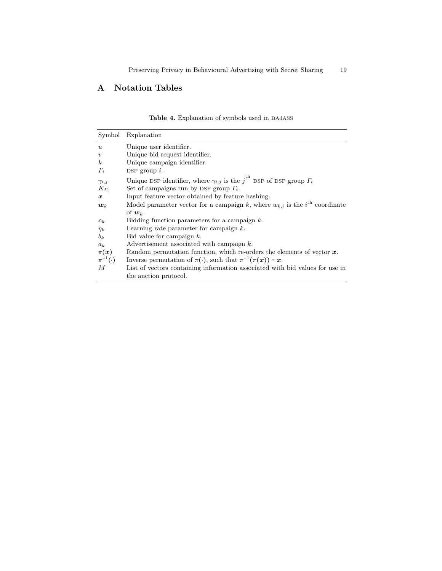## <span id="page-18-1"></span>A Notation Tables

Table 4. Explanation of symbols used in BAdASS

<span id="page-18-0"></span>

| Symbol              | Explanation                                                                                        |
|---------------------|----------------------------------------------------------------------------------------------------|
| $\boldsymbol{u}$    | Unique user identifier.                                                                            |
| $\boldsymbol{\eta}$ | Unique bid request identifier.                                                                     |
| $\boldsymbol{k}$    | Unique campaign identifier.                                                                        |
| $\Gamma_i$          | DSP group $i$ .                                                                                    |
| $\gamma_{i,j}$      | Unique DSP identifier, where $\gamma_{i,j}$ is the j <sup>th</sup> DSP of DSP group $\Gamma_i$     |
| $K_{\Gamma_i}$      | Set of campaigns run by DSP group $\Gamma_i$ .                                                     |
| x                   | Input feature vector obtained by feature hashing.                                                  |
| $\boldsymbol{w}_k$  | Model parameter vector for a campaign k, where $w_{k,i}$ is the i <sup>th</sup> coordinate         |
|                     | of $w_k$ .                                                                                         |
| $c_k$               | Bidding function parameters for a campaign $k$ .                                                   |
| $\eta_k$            | Learning rate parameter for campaign $k$ .                                                         |
| $b_k$               | Bid value for campaign $k$ .                                                                       |
| $a_k$               | Advertisement associated with campaign $k$ .                                                       |
| $\pi(x)$            | Random permutation function, which re-orders the elements of vector $\boldsymbol{x}$ .             |
| $\pi^{-1}(\cdot)$   | Inverse permutation of $\pi(\cdot)$ , such that $\pi^{-1}(\pi(\boldsymbol{x})) = \boldsymbol{x}$ . |
| М                   | List of vectors containing information associated with bid values for use in                       |
|                     | the auction protocol.                                                                              |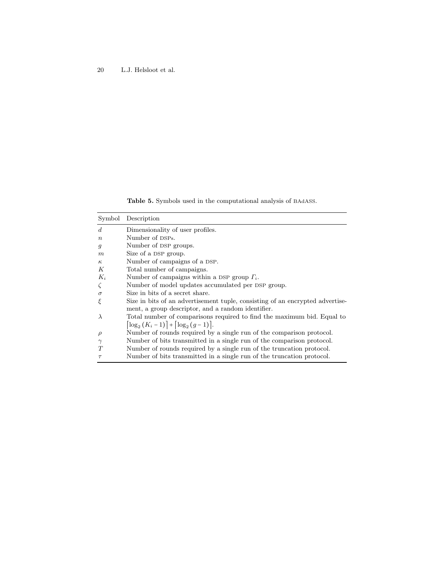Table 5. Symbols used in the computational analysis of BAdASS.

<span id="page-19-0"></span>

| Symbol           | Description                                                                   |
|------------------|-------------------------------------------------------------------------------|
| d                | Dimensionality of user profiles.                                              |
| $\boldsymbol{n}$ | Number of DSPs.                                                               |
| g                | Number of DSP groups.                                                         |
| m                | Size of a DSP group.                                                          |
| $\kappa$         | Number of campaigns of a DSP.                                                 |
| К                | Total number of campaigns.                                                    |
| $K_i$            | Number of campaigns within a DSP group $\Gamma_i$ .                           |
|                  | Number of model updates accumulated per DSP group.                            |
| $\sigma$         | Size in bits of a secret share.                                               |
| ξ                | Size in bits of an advertisement tuple, consisting of an encrypted advertise- |
|                  | ment, a group descriptor, and a random identifier.                            |
| $\lambda$        | Total number of comparisons required to find the maximum bid. Equal to        |
|                  | $\lceil \log_2 (K_i - 1) \rceil + \lceil \log_2 (g - 1) \rceil$ .             |
| $\rho$           | Number of rounds required by a single run of the comparison protocol.         |
|                  | Number of bits transmitted in a single run of the comparison protocol.        |
|                  | Number of rounds required by a single run of the truncation protocol.         |
| $\tau$           | Number of bits transmitted in a single run of the truncation protocol.        |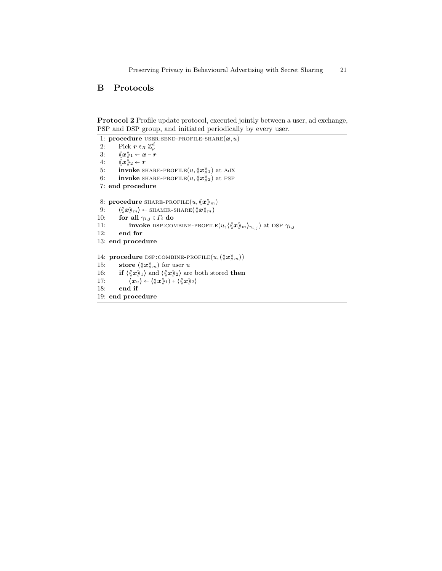## <span id="page-20-0"></span>B Protocols

```
Protocol 2 Profile update protocol, executed jointly between a user, ad exchange,
PSP and DSP group, and initiated periodically by every user.
```

```
1: procedure USER: SEND-PROFILE-SHARE(x, u)2: Pick \bm{r} \in_R \mathbb{Z}_p^d3: \langle x \rangle_1 \leftarrow x - r4: \langle x \rangle_2 \leftarrow r5: invoke SHARE-PROFILE(u, \langle x \rangle) at AdX
 6: invoke SHARE-PROFILE(u, \langle x \rangle)_2 at PSP
 7: end procedure
 8: procedure SHARE-PROFILE(u, \langle x \rangle_m)9: \langle \langle x \rangle_m \rangle \leftarrow shamir-share(\langle x \rangle_m)10: for all \gamma_{i,j} \in \Gamma_i do 11: invoke DSP:COM
11: invoke DSP:COMBINE-PROFILE(u, \langle \langle x \rangle_m \rangle_{\gamma_{i,j}}) at DSP \gamma_{i,j}<br>12: end for
           end for
13: end procedure
14: procedure DSP:COMBINE-PROFILE(u, \langle \langle x \rangle_m \rangle)15: store \langle \langle x \rangle_m \rangle for user u
16: if \langle \langle x \rangle \rangle_1 and \langle \langle x \rangle \rangle_2 are both stored then
17: \langle x_u \rangle \leftarrow \langle \langle x \rangle \rangle_1 + \langle \langle x \rangle \rangle_2 \rangle18: end if
19: end procedure
```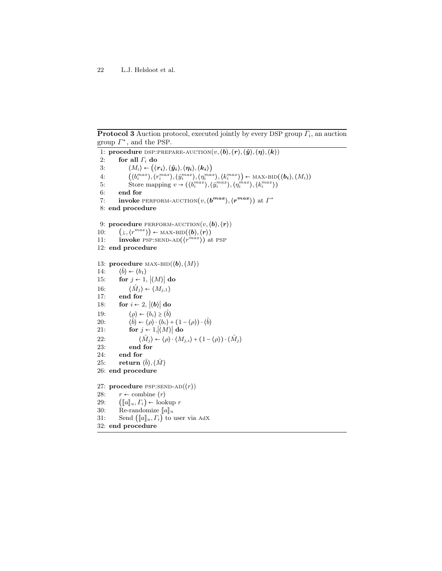**Protocol 3** Auction protocol, executed jointly by every DSP group  $\Gamma_i$ , an auction group  $\Gamma^*$ , and the PSP.

```
1: procedure DSP:PREPARE-AUCTION(v, \langle b \rangle, \langle r \rangle, \langle \hat{y} \rangle, \langle \eta \rangle, \langle k \rangle)2: for all \Gamma_i do
 3: \langle M_i \rangle \leftarrow (\langle r_i \rangle, \langle \hat{y}_i \rangle, \langle \eta_i \rangle, \langle k_i \rangle)4: \left(\langle b_i^{max}\rangle, \langle r_i^{max}\rangle, \langle \eta_i^{max}\rangle, \langle k_i^{max}\rangle\right) \leftarrow \text{MAX-BID}(\langle \mathbf{b}_i \rangle, \langle M_i \rangle)5: Store mapping v \to (\langle b_i^{max} \rangle, \langle \hat{y}_i^{max} \rangle, \langle h_i^{max} \rangle, \langle k_i^{max} \rangle)6: end for
  7: invoke PERFORM-AUCTION(v, \langle b^{max} \rangle, \langle r^{max} \rangle) at \Gamma^*8: end procedure
 9: procedure PERFORM-AUCTION(v, \langle b \rangle, \langle r \rangle)10: (\bot, \langle r^{max} \rangle) \leftarrow \text{MAX-BID}(\langle \boldsymbol{b} \rangle, \langle \boldsymbol{r} \rangle)11: invoke PSP:SEND-AD(\langle r^{max} \rangle) at PSP
12: end procedure
13: procedure \text{MAX-BID}(\langle b \rangle, \langle M \rangle)14: ∐︀
               \langle b \rangle \leftarrow \langle b_1 \rangle15: for j \leftarrow 1, |\langle M \rangle| do
16: \langle \hat{M}_j \rangle \leftarrow \langle M_{j,1} \rangle17: end for
18: for i \leftarrow 2, |\langle b \rangle| do
19: \langle \rho \rangle \leftarrow \langle b_i \rangle \ge \langle \hat{b} \rangle20: ∐︀
                        \hat{b} ← \langle \rho \rangle \cdot \langle b_i \rangle + (1 - \langle \rho \rangle) \cdot \langle \hat{b} \rangle21: for j \leftarrow 1, |\langle M \rangle| do
22: \langle \hat{M}_j \rangle \leftarrow \langle \rho \rangle \cdot \langle M_{j,i} \rangle + (1 - \langle \rho \rangle) \cdot \langle \hat{M}_j \rangle23: end for
24: end for
25: return \langle \hat{b} \rangle, \langle \hat{M} \rangle26: end procedure
27: procedure PSP:SEND-AD(\langle r \rangle)28: r \leftarrow combine \langle r \rangle29: ([\![a]\!]_u, \Gamma_i) \leftarrow \text{lookup } r<br>30: Re-randomize [\![a]\!]_u30: Re-randomize [\![a]\!]_u<br>31: Send ([\![a]\!]_u, \Gamma_i) to
              Send (\llbracket a \rrbracket_u, \Gamma_i) to user via AdX
32: end procedure
```